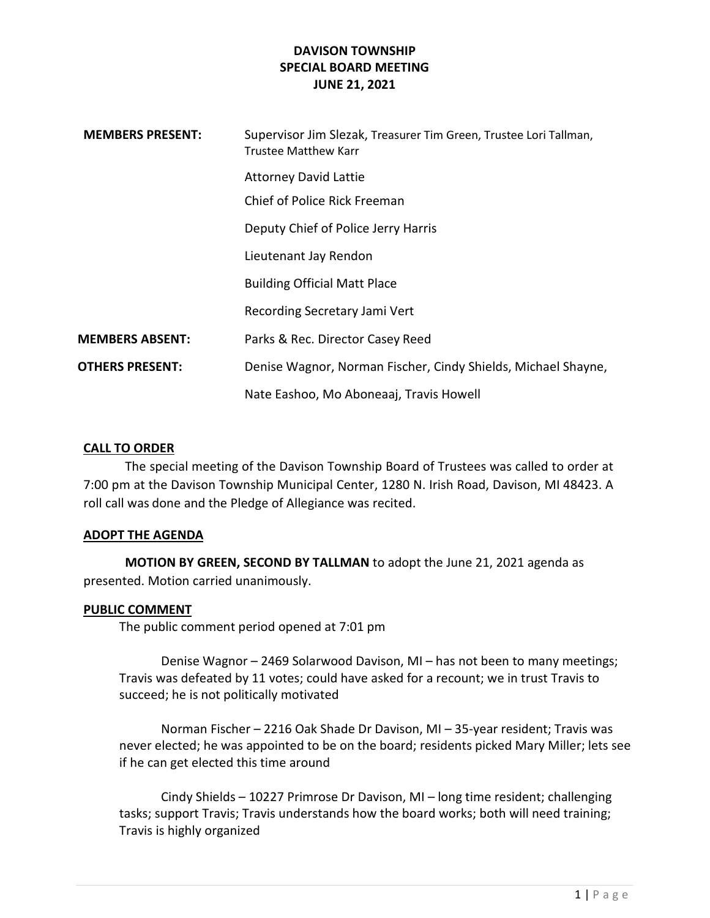| <b>MEMBERS PRESENT:</b> | Supervisor Jim Slezak, Treasurer Tim Green, Trustee Lori Tallman,<br><b>Trustee Matthew Karr</b> |
|-------------------------|--------------------------------------------------------------------------------------------------|
|                         | <b>Attorney David Lattie</b>                                                                     |
|                         | Chief of Police Rick Freeman                                                                     |
|                         | Deputy Chief of Police Jerry Harris                                                              |
|                         | Lieutenant Jay Rendon                                                                            |
|                         | <b>Building Official Matt Place</b>                                                              |
|                         | Recording Secretary Jami Vert                                                                    |
| MEMBERS ABSENT:         | Parks & Rec. Director Casey Reed                                                                 |
| <b>OTHERS PRESENT:</b>  | Denise Wagnor, Norman Fischer, Cindy Shields, Michael Shayne,                                    |
|                         | Nate Eashoo, Mo Aboneaaj, Travis Howell                                                          |

### CALL TO ORDER

The special meeting of the Davison Township Board of Trustees was called to order at 7:00 pm at the Davison Township Municipal Center, 1280 N. Irish Road, Davison, MI 48423. A roll call was done and the Pledge of Allegiance was recited.

### ADOPT THE AGENDA

MOTION BY GREEN, SECOND BY TALLMAN to adopt the June 21, 2021 agenda as presented. Motion carried unanimously.

#### PUBLIC COMMENT

The public comment period opened at 7:01 pm

 Denise Wagnor – 2469 Solarwood Davison, MI – has not been to many meetings; Travis was defeated by 11 votes; could have asked for a recount; we in trust Travis to succeed; he is not politically motivated

 Norman Fischer – 2216 Oak Shade Dr Davison, MI – 35-year resident; Travis was never elected; he was appointed to be on the board; residents picked Mary Miller; lets see if he can get elected this time around

 Cindy Shields – 10227 Primrose Dr Davison, MI – long time resident; challenging tasks; support Travis; Travis understands how the board works; both will need training; Travis is highly organized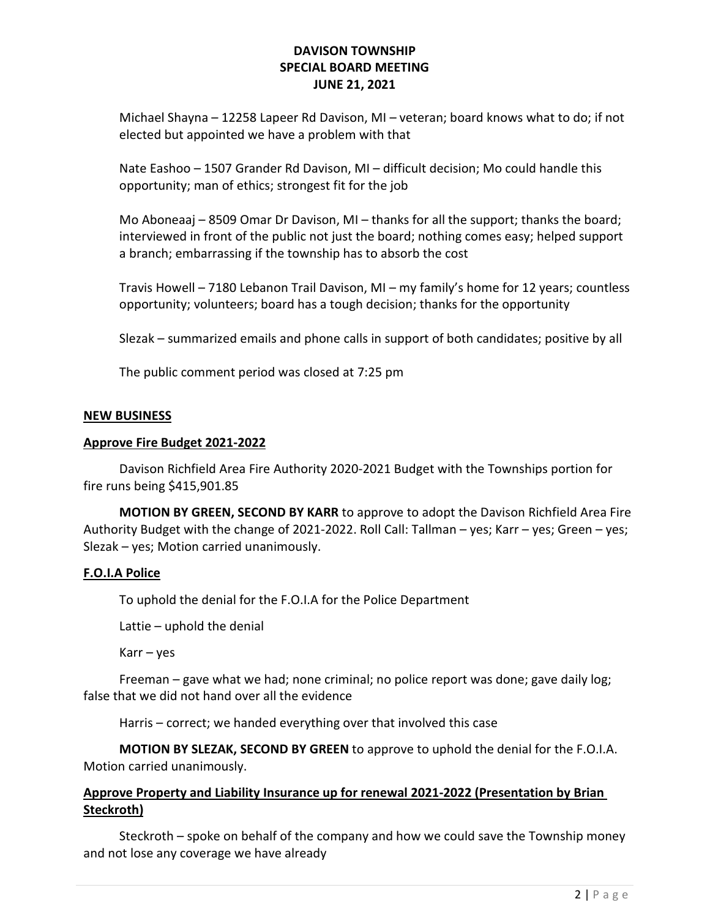Michael Shayna – 12258 Lapeer Rd Davison, MI – veteran; board knows what to do; if not elected but appointed we have a problem with that

Nate Eashoo – 1507 Grander Rd Davison, MI – difficult decision; Mo could handle this opportunity; man of ethics; strongest fit for the job

Mo Aboneaaj – 8509 Omar Dr Davison, MI – thanks for all the support; thanks the board; interviewed in front of the public not just the board; nothing comes easy; helped support a branch; embarrassing if the township has to absorb the cost

Travis Howell – 7180 Lebanon Trail Davison, MI – my family's home for 12 years; countless opportunity; volunteers; board has a tough decision; thanks for the opportunity

Slezak – summarized emails and phone calls in support of both candidates; positive by all

The public comment period was closed at 7:25 pm

### NEW BUSINESS

### Approve Fire Budget 2021-2022

Davison Richfield Area Fire Authority 2020-2021 Budget with the Townships portion for fire runs being \$415,901.85

MOTION BY GREEN, SECOND BY KARR to approve to adopt the Davison Richfield Area Fire Authority Budget with the change of 2021-2022. Roll Call: Tallman – yes; Karr – yes; Green – yes; Slezak – yes; Motion carried unanimously.

### F.O.I.A Police

To uphold the denial for the F.O.I.A for the Police Department

Lattie – uphold the denial

Karr – yes

 Freeman – gave what we had; none criminal; no police report was done; gave daily log; false that we did not hand over all the evidence

Harris – correct; we handed everything over that involved this case

MOTION BY SLEZAK, SECOND BY GREEN to approve to uphold the denial for the F.O.I.A. Motion carried unanimously.

## Approve Property and Liability Insurance up for renewal 2021-2022 (Presentation by Brian Steckroth)

 Steckroth – spoke on behalf of the company and how we could save the Township money and not lose any coverage we have already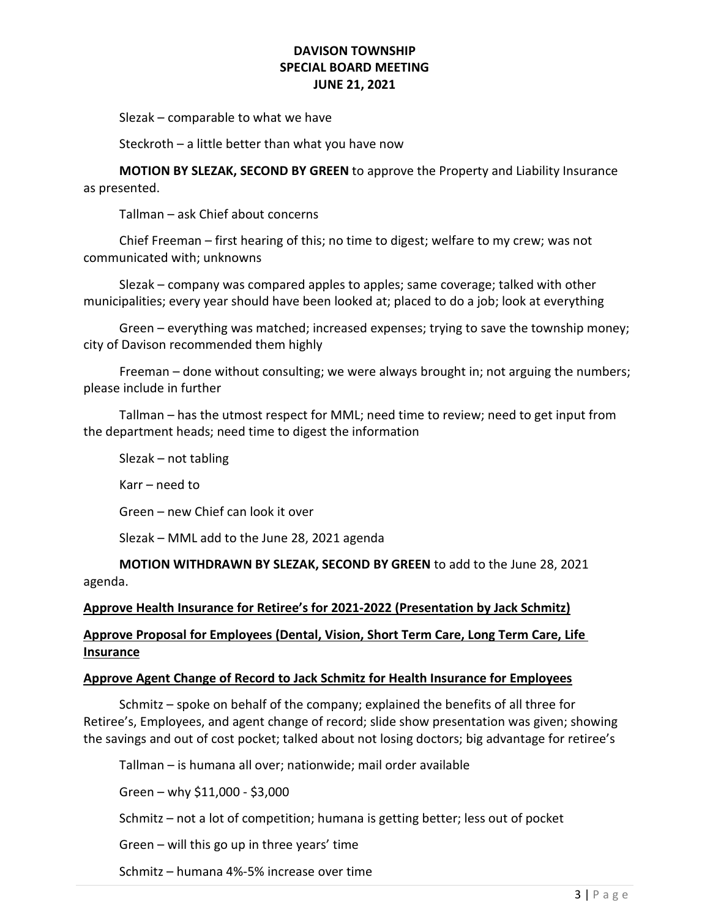Slezak – comparable to what we have

Steckroth – a little better than what you have now

MOTION BY SLEZAK, SECOND BY GREEN to approve the Property and Liability Insurance as presented.

Tallman – ask Chief about concerns

Chief Freeman – first hearing of this; no time to digest; welfare to my crew; was not communicated with; unknowns

Slezak – company was compared apples to apples; same coverage; talked with other municipalities; every year should have been looked at; placed to do a job; look at everything

Green – everything was matched; increased expenses; trying to save the township money; city of Davison recommended them highly

Freeman – done without consulting; we were always brought in; not arguing the numbers; please include in further

Tallman – has the utmost respect for MML; need time to review; need to get input from the department heads; need time to digest the information

Slezak – not tabling

Karr – need to

Green – new Chief can look it over

Slezak – MML add to the June 28, 2021 agenda

MOTION WITHDRAWN BY SLEZAK, SECOND BY GREEN to add to the June 28, 2021 agenda.

#### Approve Health Insurance for Retiree's for 2021-2022 (Presentation by Jack Schmitz)

# Approve Proposal for Employees (Dental, Vision, Short Term Care, Long Term Care, Life Insurance

#### Approve Agent Change of Record to Jack Schmitz for Health Insurance for Employees

 Schmitz – spoke on behalf of the company; explained the benefits of all three for Retiree's, Employees, and agent change of record; slide show presentation was given; showing the savings and out of cost pocket; talked about not losing doctors; big advantage for retiree's

Tallman – is humana all over; nationwide; mail order available

Green – why \$11,000 - \$3,000

Schmitz – not a lot of competition; humana is getting better; less out of pocket

Green – will this go up in three years' time

Schmitz – humana 4%-5% increase over time